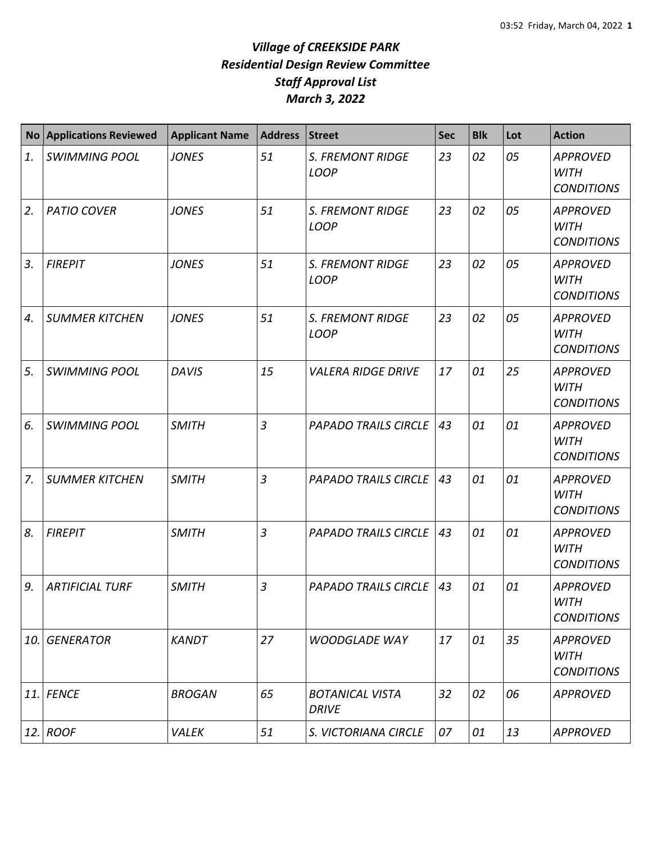| <b>No</b> | <b>Applications Reviewed</b> | <b>Applicant Name</b> | <b>Address</b> | <b>Street</b>                          | <b>Sec</b> | <b>Blk</b> | Lot | <b>Action</b>                                       |
|-----------|------------------------------|-----------------------|----------------|----------------------------------------|------------|------------|-----|-----------------------------------------------------|
| 1.        | <b>SWIMMING POOL</b>         | <b>JONES</b>          | 51             | <b>S. FREMONT RIDGE</b><br><b>LOOP</b> | 23         | 02         | 05  | <b>APPROVED</b><br><b>WITH</b><br><b>CONDITIONS</b> |
| 2.        | <b>PATIO COVER</b>           | <b>JONES</b>          | 51             | <b>S. FREMONT RIDGE</b><br><b>LOOP</b> | 23         | 02         | 05  | <b>APPROVED</b><br><b>WITH</b><br><b>CONDITIONS</b> |
| 3.        | <b>FIREPIT</b>               | <b>JONES</b>          | 51             | <b>S. FREMONT RIDGE</b><br><b>LOOP</b> | 23         | 02         | 05  | <b>APPROVED</b><br><b>WITH</b><br><b>CONDITIONS</b> |
| 4.        | <b>SUMMER KITCHEN</b>        | <b>JONES</b>          | 51             | <b>S. FREMONT RIDGE</b><br><b>LOOP</b> | 23         | 02         | 05  | <b>APPROVED</b><br><b>WITH</b><br><b>CONDITIONS</b> |
| 5.        | <b>SWIMMING POOL</b>         | <b>DAVIS</b>          | 15             | <b>VALERA RIDGE DRIVE</b>              | 17         | 01         | 25  | <b>APPROVED</b><br><b>WITH</b><br><b>CONDITIONS</b> |
| 6.        | <b>SWIMMING POOL</b>         | <b>SMITH</b>          | $\overline{3}$ | <b>PAPADO TRAILS CIRCLE</b>            | 43         | 01         | 01  | <b>APPROVED</b><br><b>WITH</b><br><b>CONDITIONS</b> |
| 7.        | <b>SUMMER KITCHEN</b>        | <b>SMITH</b>          | $\overline{3}$ | <b>PAPADO TRAILS CIRCLE</b>            | 43         | 01         | 01  | <b>APPROVED</b><br><b>WITH</b><br><b>CONDITIONS</b> |
| 8.        | <b>FIREPIT</b>               | <b>SMITH</b>          | 3              | <b>PAPADO TRAILS CIRCLE</b>            | 43         | 01         | 01  | <b>APPROVED</b><br><b>WITH</b><br><b>CONDITIONS</b> |
| 9.        | <b>ARTIFICIAL TURF</b>       | <b>SMITH</b>          | 3              | <b>PAPADO TRAILS CIRCLE</b>            | 43         | 01         | 01  | <b>APPROVED</b><br>WITH<br><b>CONDITIONS</b>        |
| 10.       | <b>GENERATOR</b>             | <b>KANDT</b>          | 27             | <b>WOODGLADE WAY</b>                   | 17         | 01         | 35  | <b>APPROVED</b><br><b>WITH</b><br><b>CONDITIONS</b> |
| 11.       | <b>FENCE</b>                 | <b>BROGAN</b>         | 65             | <b>BOTANICAL VISTA</b><br><b>DRIVE</b> | 32         | 02         | 06  | <b>APPROVED</b>                                     |
| 12.       | <b>ROOF</b>                  | VALEK                 | 51             | S. VICTORIANA CIRCLE                   | 07         | 01         | 13  | <b>APPROVED</b>                                     |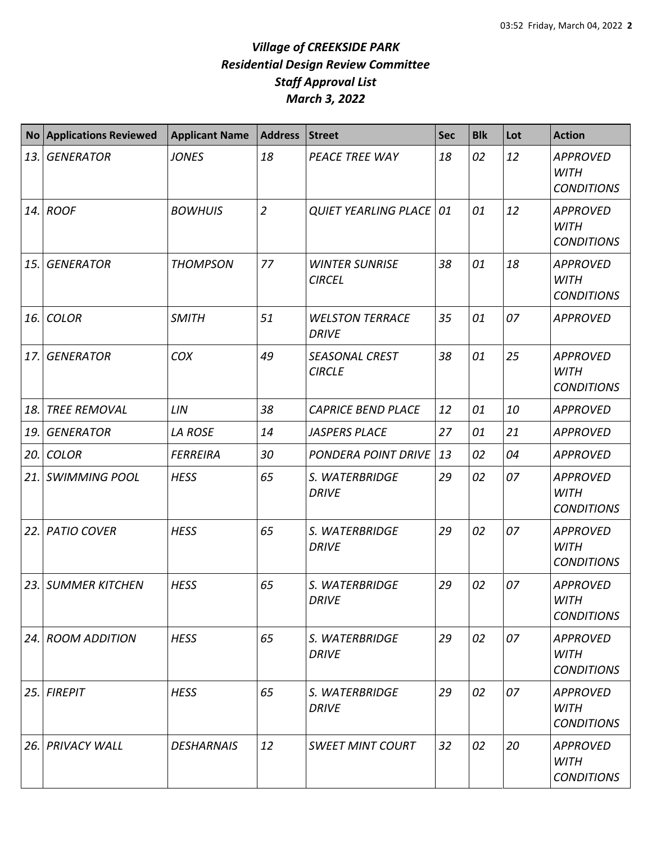| <b>No</b> | <b>Applications Reviewed</b> | <b>Applicant Name</b> | <b>Address</b> | <b>Street</b>                          | <b>Sec</b> | <b>Blk</b> | Lot | <b>Action</b>                                       |
|-----------|------------------------------|-----------------------|----------------|----------------------------------------|------------|------------|-----|-----------------------------------------------------|
| 13.       | <b>GENERATOR</b>             | <b>JONES</b>          | 18             | PEACE TREE WAY                         | 18         | 02         | 12  | <b>APPROVED</b><br><b>WITH</b><br><b>CONDITIONS</b> |
|           | $14.$ ROOF                   | <b>BOWHUIS</b>        | $\overline{2}$ | <b>QUIET YEARLING PLACE   01</b>       |            | 01         | 12  | <b>APPROVED</b><br><b>WITH</b><br><b>CONDITIONS</b> |
| 15.       | <b>GENERATOR</b>             | <b>THOMPSON</b>       | 77             | <b>WINTER SUNRISE</b><br><b>CIRCEL</b> | 38         | 01         | 18  | <b>APPROVED</b><br><b>WITH</b><br><b>CONDITIONS</b> |
| 16.       | <b>COLOR</b>                 | <b>SMITH</b>          | 51             | <b>WELSTON TERRACE</b><br><b>DRIVE</b> | 35         | 01         | 07  | <b>APPROVED</b>                                     |
| 17.       | <b>GENERATOR</b>             | COX                   | 49             | <b>SEASONAL CREST</b><br><b>CIRCLE</b> | 38         | 01         | 25  | <b>APPROVED</b><br><b>WITH</b><br><b>CONDITIONS</b> |
| 18.       | <b>TREE REMOVAL</b>          | LIN                   | 38             | <b>CAPRICE BEND PLACE</b>              | 12         | 01         | 10  | <b>APPROVED</b>                                     |
| 19.       | <b>GENERATOR</b>             | <b>LA ROSE</b>        | 14             | <b>JASPERS PLACE</b>                   | 27         | 01         | 21  | <b>APPROVED</b>                                     |
| 20.       | <b>COLOR</b>                 | <b>FERREIRA</b>       | 30             | <b>PONDERA POINT DRIVE</b>             | 13         | 02         | 04  | <b>APPROVED</b>                                     |
| 21.       | <b>SWIMMING POOL</b>         | <b>HESS</b>           | 65             | S. WATERBRIDGE<br><b>DRIVE</b>         | 29         | 02         | 07  | <b>APPROVED</b><br><b>WITH</b><br><b>CONDITIONS</b> |
| 22.       | <b>PATIO COVER</b>           | <b>HESS</b>           | 65             | S. WATERBRIDGE<br><b>DRIVE</b>         | 29         | 02         | 07  | <b>APPROVED</b><br><b>WITH</b><br><b>CONDITIONS</b> |
| 23.       | <b>SUMMER KITCHEN</b>        | <b>HESS</b>           | 65             | S. WATERBRIDGE<br><b>DRIVE</b>         | 29         | 02         | 07  | <b>APPROVED</b><br>WITH<br><b>CONDITIONS</b>        |
|           | 24. ROOM ADDITION            | <b>HESS</b>           | 65             | S. WATERBRIDGE<br><b>DRIVE</b>         | 29         | 02         | 07  | <b>APPROVED</b><br><b>WITH</b><br><b>CONDITIONS</b> |
| 25.       | <b>FIREPIT</b>               | <b>HESS</b>           | 65             | S. WATERBRIDGE<br><b>DRIVE</b>         | 29         | 02         | 07  | <b>APPROVED</b><br><b>WITH</b><br><b>CONDITIONS</b> |
| 26.       | <b>PRIVACY WALL</b>          | <b>DESHARNAIS</b>     | 12             | <b>SWEET MINT COURT</b>                | 32         | 02         | 20  | <b>APPROVED</b><br><b>WITH</b><br><b>CONDITIONS</b> |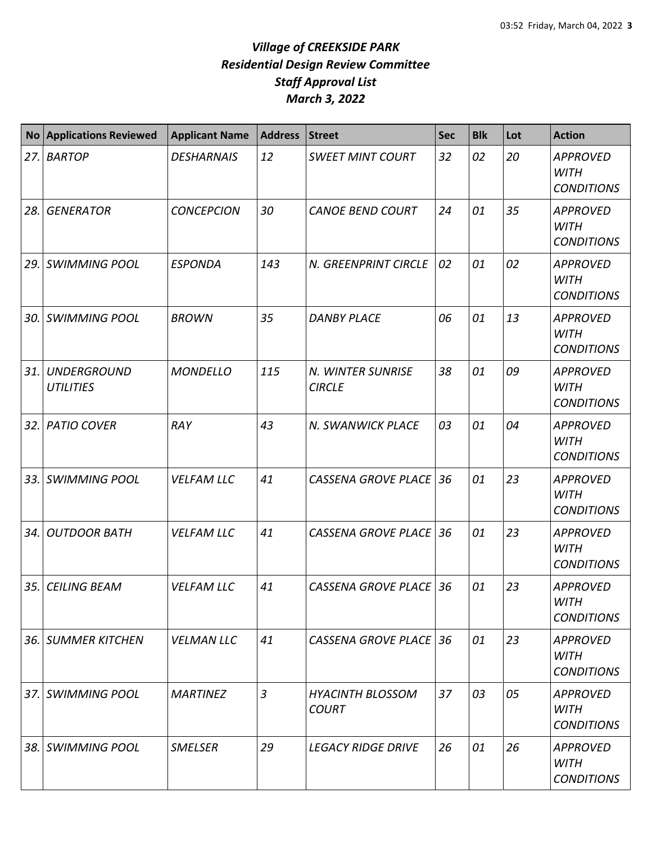| No  | <b>Applications Reviewed</b>           | <b>Applicant Name</b> | <b>Address</b> | <b>Street</b>                           | <b>Sec</b> | <b>Blk</b> | Lot | <b>Action</b>                                       |
|-----|----------------------------------------|-----------------------|----------------|-----------------------------------------|------------|------------|-----|-----------------------------------------------------|
| 27. | <b>BARTOP</b>                          | <b>DESHARNAIS</b>     | 12             | <b>SWEET MINT COURT</b>                 | 32         | 02         | 20  | <b>APPROVED</b><br><b>WITH</b><br><b>CONDITIONS</b> |
| 28. | <b>GENERATOR</b>                       | <b>CONCEPCION</b>     | 30             | <b>CANOE BEND COURT</b>                 | 24         | 01         | 35  | <b>APPROVED</b><br><b>WITH</b><br><b>CONDITIONS</b> |
| 29. | <b>SWIMMING POOL</b>                   | <b>ESPONDA</b>        | 143            | N. GREENPRINT CIRCLE                    | 02         | 01         | 02  | <b>APPROVED</b><br><b>WITH</b><br><b>CONDITIONS</b> |
| 30. | <b>SWIMMING POOL</b>                   | <b>BROWN</b>          | 35             | <b>DANBY PLACE</b>                      | 06         | 01         | 13  | <b>APPROVED</b><br><b>WITH</b><br><b>CONDITIONS</b> |
| 31. | <b>UNDERGROUND</b><br><b>UTILITIES</b> | <b>MONDELLO</b>       | 115            | N. WINTER SUNRISE<br><b>CIRCLE</b>      | 38         | 01         | 09  | <b>APPROVED</b><br><b>WITH</b><br><b>CONDITIONS</b> |
|     | 32. PATIO COVER                        | RAY                   | 43             | N. SWANWICK PLACE                       | 03         | 01         | 04  | <b>APPROVED</b><br><b>WITH</b><br><b>CONDITIONS</b> |
| 33. | <b>SWIMMING POOL</b>                   | <b>VELFAM LLC</b>     | 41             | <b>CASSENA GROVE PLACE</b>              | 36         | 01         | 23  | <b>APPROVED</b><br><b>WITH</b><br><b>CONDITIONS</b> |
| 34. | <b>OUTDOOR BATH</b>                    | <b>VELFAM LLC</b>     | 41             | <b>CASSENA GROVE PLACE</b>              | 36         | 01         | 23  | <b>APPROVED</b><br><b>WITH</b><br><b>CONDITIONS</b> |
| 35. | <b>CEILING BEAM</b>                    | <b>VELFAM LLC</b>     | 41             | <b>CASSENA GROVE PLACE</b>              | 36         | 01         | 23  | <b>APPROVED</b><br><b>WITH</b><br><b>CONDITIONS</b> |
|     | 36. SUMMER KITCHEN                     | <b>VELMAN LLC</b>     | 41             | CASSENA GROVE PLACE 36                  |            | 01         | 23  | <b>APPROVED</b><br><b>WITH</b><br><b>CONDITIONS</b> |
|     | 37. SWIMMING POOL                      | <b>MARTINEZ</b>       | $\mathfrak{Z}$ | <b>HYACINTH BLOSSOM</b><br><b>COURT</b> | 37         | 03         | 05  | <b>APPROVED</b><br><b>WITH</b><br><b>CONDITIONS</b> |
|     | 38. SWIMMING POOL                      | <b>SMELSER</b>        | 29             | <b>LEGACY RIDGE DRIVE</b>               | 26         | 01         | 26  | <b>APPROVED</b><br>WITH<br><b>CONDITIONS</b>        |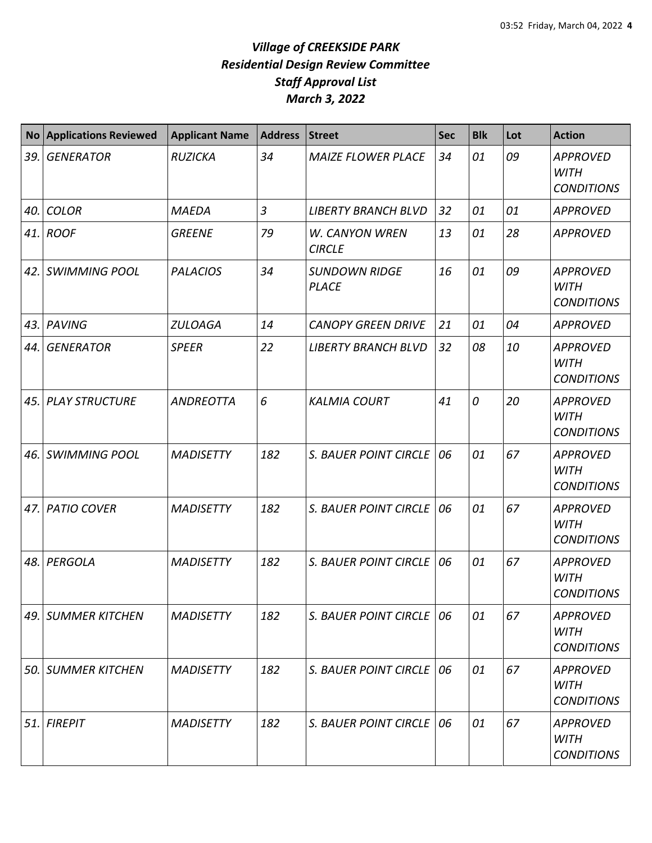|     | <b>No Applications Reviewed</b> | <b>Applicant Name</b> | <b>Address</b> | <b>Street</b>                        | <b>Sec</b> | <b>Blk</b> | Lot | <b>Action</b>                                       |
|-----|---------------------------------|-----------------------|----------------|--------------------------------------|------------|------------|-----|-----------------------------------------------------|
| 39. | <b>GENERATOR</b>                | <b>RUZICKA</b>        | 34             | <b>MAIZE FLOWER PLACE</b>            | 34         | 01         | 09  | <b>APPROVED</b><br><b>WITH</b><br><b>CONDITIONS</b> |
| 40. | <b>COLOR</b>                    | <b>MAEDA</b>          | $\overline{3}$ | <b>LIBERTY BRANCH BLVD</b>           | 32         | 01         | 01  | <b>APPROVED</b>                                     |
| 41. | <b>ROOF</b>                     | <b>GREENE</b>         | 79             | W. CANYON WREN<br><b>CIRCLE</b>      | 13         | 01         | 28  | <b>APPROVED</b>                                     |
| 42. | <b>SWIMMING POOL</b>            | <b>PALACIOS</b>       | 34             | <b>SUNDOWN RIDGE</b><br><b>PLACE</b> | 16         | 01         | 09  | <b>APPROVED</b><br><b>WITH</b><br><b>CONDITIONS</b> |
| 43. | <b>PAVING</b>                   | <b>ZULOAGA</b>        | 14             | <b>CANOPY GREEN DRIVE</b>            | 21         | 01         | 04  | <b>APPROVED</b>                                     |
| 44. | <b>GENERATOR</b>                | <b>SPEER</b>          | 22             | <b>LIBERTY BRANCH BLVD</b>           | 32         | 08         | 10  | <b>APPROVED</b><br><b>WITH</b><br><b>CONDITIONS</b> |
| 45. | <b>PLAY STRUCTURE</b>           | <b>ANDREOTTA</b>      | 6              | <b>KALMIA COURT</b>                  | 41         | 0          | 20  | <b>APPROVED</b><br><b>WITH</b><br><b>CONDITIONS</b> |
| 46. | <b>SWIMMING POOL</b>            | <b>MADISETTY</b>      | 182            | S. BAUER POINT CIRCLE                | 06         | 01         | 67  | <b>APPROVED</b><br><b>WITH</b><br><b>CONDITIONS</b> |
| 47. | <b>PATIO COVER</b>              | <b>MADISETTY</b>      | 182            | <b>S. BAUER POINT CIRCLE</b>         | 06         | 01         | 67  | <b>APPROVED</b><br><b>WITH</b><br><b>CONDITIONS</b> |
| 48. | PERGOLA                         | <b>MADISETTY</b>      | 182            | <b>S. BAUER POINT CIRCLE</b>         | 06         | 01         | 67  | <b>APPROVED</b><br><b>WITH</b><br><b>CONDITIONS</b> |
| 49. | <b>SUMMER KITCHEN</b>           | <b>MADISETTY</b>      | 182            | S. BAUER POINT CIRCLE                | 06         | 01         | 67  | <b>APPROVED</b><br><b>WITH</b><br><b>CONDITIONS</b> |
| 50. | <b>SUMMER KITCHEN</b>           | <b>MADISETTY</b>      | 182            | <b>S. BAUER POINT CIRCLE</b>         | 06         | 01         | 67  | <b>APPROVED</b><br><b>WITH</b><br><b>CONDITIONS</b> |
| 51. | <b>FIREPIT</b>                  | <b>MADISETTY</b>      | 182            | S. BAUER POINT CIRCLE                | 06         | 01         | 67  | <b>APPROVED</b><br><b>WITH</b><br><b>CONDITIONS</b> |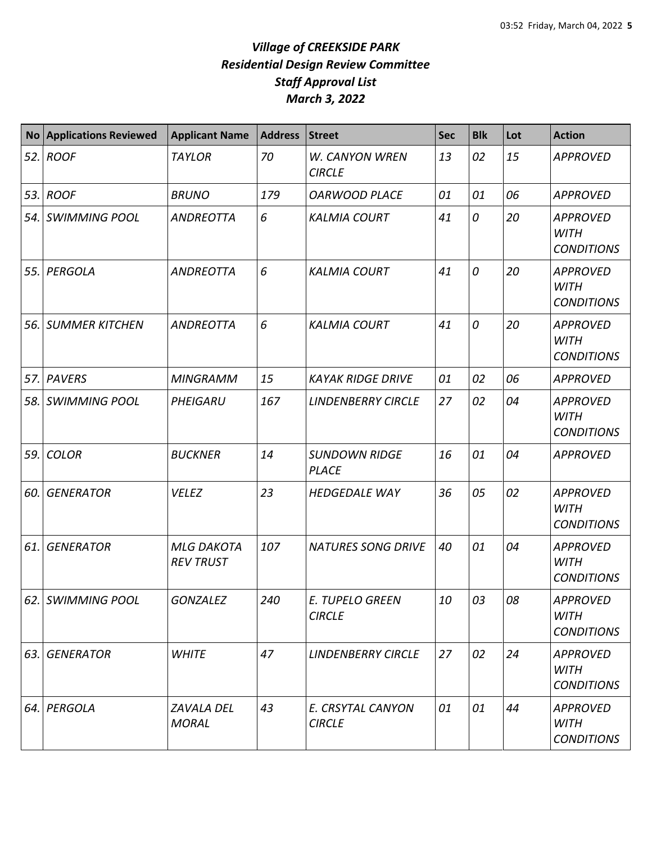| <b>No</b> | <b>Applications Reviewed</b> | <b>Applicant Name</b>                 | <b>Address</b> | <b>Street</b>                        | <b>Sec</b> | <b>Blk</b> | Lot | <b>Action</b>                                       |
|-----------|------------------------------|---------------------------------------|----------------|--------------------------------------|------------|------------|-----|-----------------------------------------------------|
| 52.       | <b>ROOF</b>                  | <b>TAYLOR</b>                         | 70             | W. CANYON WREN<br><b>CIRCLE</b>      | 13         | 02         | 15  | <b>APPROVED</b>                                     |
| 53.       | <b>ROOF</b>                  | <b>BRUNO</b>                          | 179            | <b>OARWOOD PLACE</b>                 | 01         | 01         | 06  | <b>APPROVED</b>                                     |
| 54.       | <b>SWIMMING POOL</b>         | <b>ANDREOTTA</b>                      | 6              | <b>KALMIA COURT</b>                  | 41         | 0          | 20  | <b>APPROVED</b><br><b>WITH</b><br><b>CONDITIONS</b> |
| 55.       | PERGOLA                      | ANDREOTTA                             | 6              | <b>KALMIA COURT</b>                  | 41         | 0          | 20  | <b>APPROVED</b><br><b>WITH</b><br><b>CONDITIONS</b> |
| 56.       | <b>SUMMER KITCHEN</b>        | <b>ANDREOTTA</b>                      | 6              | <b>KALMIA COURT</b>                  | 41         | 0          | 20  | <b>APPROVED</b><br><b>WITH</b><br><b>CONDITIONS</b> |
| 57.       | <b>PAVERS</b>                | <b>MINGRAMM</b>                       | 15             | <b>KAYAK RIDGE DRIVE</b>             | 01         | 02         | 06  | <b>APPROVED</b>                                     |
| 58.       | <b>SWIMMING POOL</b>         | PHEIGARU                              | 167            | <b>LINDENBERRY CIRCLE</b>            | 27         | 02         | 04  | <b>APPROVED</b><br><b>WITH</b><br><b>CONDITIONS</b> |
| 59.       | <b>COLOR</b>                 | <b>BUCKNER</b>                        | 14             | <b>SUNDOWN RIDGE</b><br><b>PLACE</b> | 16         | 01         | 04  | <b>APPROVED</b>                                     |
| 60.       | <b>GENERATOR</b>             | <b>VELEZ</b>                          | 23             | <b>HEDGEDALE WAY</b>                 | 36         | 05         | 02  | <b>APPROVED</b><br><b>WITH</b><br><b>CONDITIONS</b> |
| 61.       | <b>GENERATOR</b>             | <b>MLG DAKOTA</b><br><b>REV TRUST</b> | 107            | <b>NATURES SONG DRIVE</b>            | 40         | 01         | 04  | <b>APPROVED</b><br><b>WITH</b><br><b>CONDITIONS</b> |
|           | 62. SWIMMING POOL            | <b>GONZALEZ</b>                       | 240            | E. TUPELO GREEN<br><b>CIRCLE</b>     | 10         | 03         | 08  | <b>APPROVED</b><br><b>WITH</b><br><b>CONDITIONS</b> |
| 63.       | <b>GENERATOR</b>             | <b>WHITE</b>                          | 47             | <b>LINDENBERRY CIRCLE</b>            | 27         | 02         | 24  | <b>APPROVED</b><br><b>WITH</b><br><b>CONDITIONS</b> |
| 64.       | PERGOLA                      | <b>ZAVALA DEL</b><br><b>MORAL</b>     | 43             | E. CRSYTAL CANYON<br><b>CIRCLE</b>   | 01         | 01         | 44  | <b>APPROVED</b><br><b>WITH</b><br><b>CONDITIONS</b> |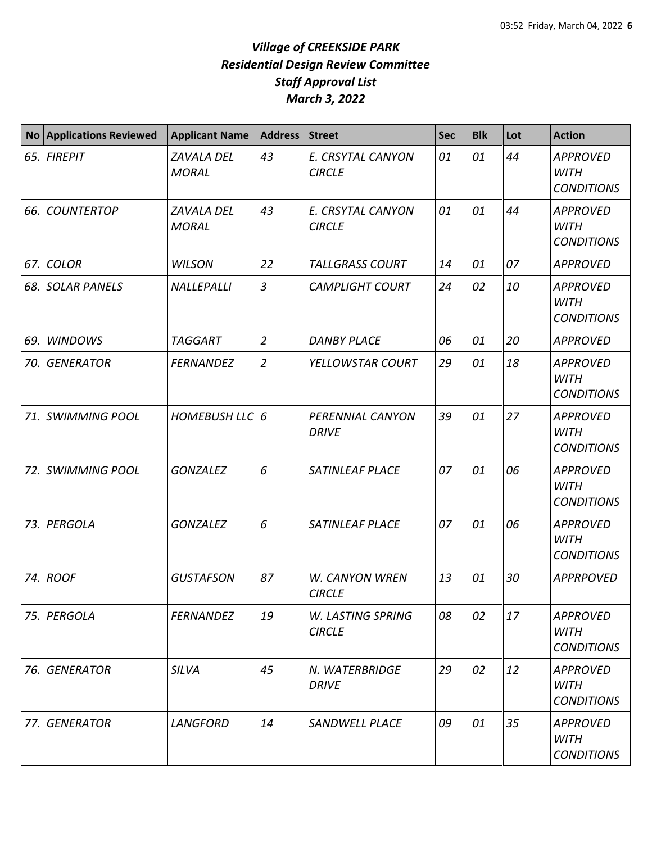| <b>No</b> | <b>Applications Reviewed</b> | <b>Applicant Name</b>             | <b>Address</b> | <b>Street</b>                      | <b>Sec</b> | <b>Blk</b> | Lot | <b>Action</b>                                       |
|-----------|------------------------------|-----------------------------------|----------------|------------------------------------|------------|------------|-----|-----------------------------------------------------|
| 65.       | <b>FIREPIT</b>               | <b>ZAVALA DEL</b><br><b>MORAL</b> | 43             | E. CRSYTAL CANYON<br><b>CIRCLE</b> | 01         | 01         | 44  | <b>APPROVED</b><br><b>WITH</b><br><b>CONDITIONS</b> |
| 66.       | <b>COUNTERTOP</b>            | ZAVALA DEL<br><b>MORAL</b>        | 43             | E. CRSYTAL CANYON<br><b>CIRCLE</b> | 01         | 01         | 44  | <b>APPROVED</b><br><b>WITH</b><br><b>CONDITIONS</b> |
| 67.       | <b>COLOR</b>                 | <b>WILSON</b>                     | 22             | <b>TALLGRASS COURT</b>             | 14         | 01         | 07  | <b>APPROVED</b>                                     |
| 68.       | <b>SOLAR PANELS</b>          | NALLEPALLI                        | $\overline{3}$ | <b>CAMPLIGHT COURT</b>             | 24         | 02         | 10  | <b>APPROVED</b><br><b>WITH</b><br><b>CONDITIONS</b> |
| 69.       | <b>WINDOWS</b>               | <b>TAGGART</b>                    | $\overline{2}$ | <b>DANBY PLACE</b>                 | 06         | 01         | 20  | <b>APPROVED</b>                                     |
| 70.       | <b>GENERATOR</b>             | <b>FERNANDEZ</b>                  | $\overline{2}$ | YELLOWSTAR COURT                   | 29         | 01         | 18  | <b>APPROVED</b><br><b>WITH</b><br><b>CONDITIONS</b> |
| 71.       | <b>SWIMMING POOL</b>         | <b>HOMEBUSH LLC</b>               | 6              | PERENNIAL CANYON<br><b>DRIVE</b>   | 39         | 01         | 27  | <b>APPROVED</b><br><b>WITH</b><br><b>CONDITIONS</b> |
| 72.       | <b>SWIMMING POOL</b>         | <b>GONZALEZ</b>                   | 6              | SATINLEAF PLACE                    | 07         | 01         | 06  | <b>APPROVED</b><br><b>WITH</b><br><b>CONDITIONS</b> |
| 73.       | PERGOLA                      | <b>GONZALEZ</b>                   | 6              | SATINLEAF PLACE                    | 07         | 01         | 06  | <b>APPROVED</b><br><b>WITH</b><br><b>CONDITIONS</b> |
| 74.       | <b>ROOF</b>                  | <b>GUSTAFSON</b>                  | 87             | W. CANYON WREN<br><b>CIRCLE</b>    | 13         | 01         | 30  | <b>APPRPOVED</b>                                    |
| 75.       | PERGOLA                      | <b>FERNANDEZ</b>                  | 19             | W. LASTING SPRING<br><b>CIRCLE</b> | 08         | 02         | 17  | <b>APPROVED</b><br><b>WITH</b><br><b>CONDITIONS</b> |
| 76.       | <b>GENERATOR</b>             | <b>SILVA</b>                      | 45             | N. WATERBRIDGE<br><b>DRIVE</b>     | 29         | 02         | 12  | <b>APPROVED</b><br><b>WITH</b><br><b>CONDITIONS</b> |
| 77.       | <b>GENERATOR</b>             | <b>LANGFORD</b>                   | 14             | SANDWELL PLACE                     | 09         | 01         | 35  | <b>APPROVED</b><br><b>WITH</b><br><b>CONDITIONS</b> |